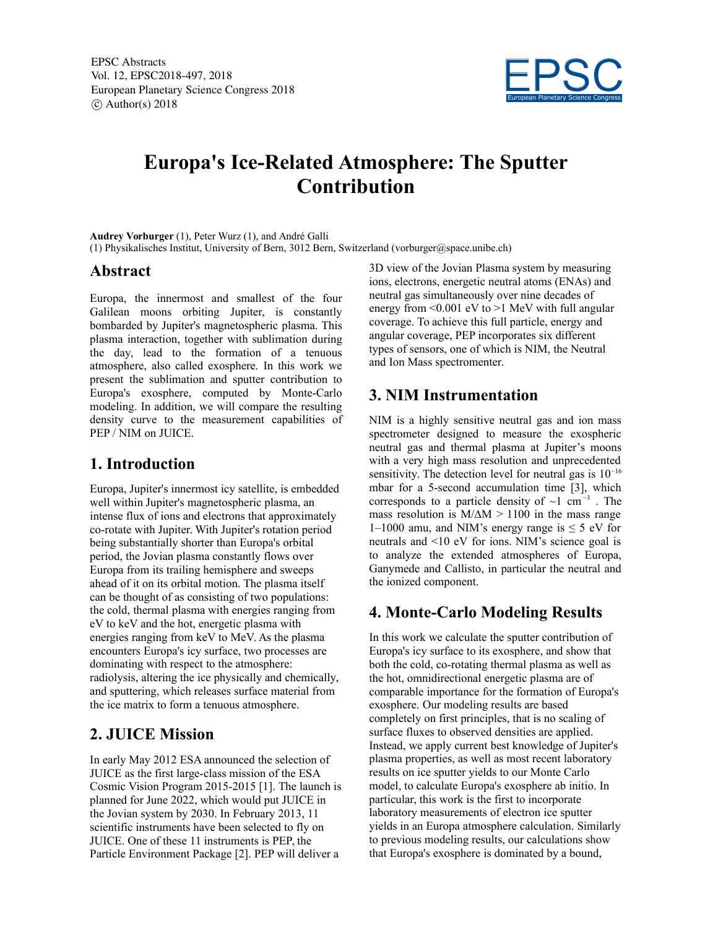

# **Europa's Ice-Related Atmosphere: The Sputter Contribution**

**Audrey Vorburger** (1), Peter Wurz (1), and André Galli

(1) Physikalisches Institut, University of Bern, 3012 Bern, Switzerland (vorburger@space.unibe.ch)

#### **Abstract**

Europa, the innermost and smallest of the four Galilean moons orbiting Jupiter, is constantly bombarded by Jupiter's magnetospheric plasma. This plasma interaction, together with sublimation during the day, lead to the formation of a tenuous atmosphere, also called exosphere. In this work we present the sublimation and sputter contribution to Europa's exosphere, computed by Monte-Carlo modeling. In addition, we will compare the resulting density curve to the measurement capabilities of PEP / NIM on JUICE.

### **1. Introduction**

Europa, Jupiter's innermost icy satellite, is embedded well within Jupiter's magnetospheric plasma, an intense flux of ions and electrons that approximately co-rotate with Jupiter. With Jupiter's rotation period being substantially shorter than Europa's orbital period, the Jovian plasma constantly flows over Europa from its trailing hemisphere and sweeps ahead of it on its orbital motion. The plasma itself can be thought of as consisting of two populations: the cold, thermal plasma with energies ranging from eV to keV and the hot, energetic plasma with energies ranging from keV to MeV. As the plasma encounters Europa's icy surface, two processes are dominating with respect to the atmosphere: radiolysis, altering the ice physically and chemically, and sputtering, which releases surface material from the ice matrix to form a tenuous atmosphere.

# **2. JUICE Mission**

In early May 2012 ESA announced the selection of JUICE as the first large-class mission of the ESA Cosmic Vision Program 2015-2015 [1]. The launch is planned for June 2022, which would put JUICE in the Jovian system by 2030. In February 2013, 11 scientific instruments have been selected to fly on JUICE. One of these 11 instruments is PEP, the Particle Environment Package [2]. PEP will deliver a

3D
 view of the Jovian Plasma system by measuring ions, electrons, energetic neutral atoms (ENAs) and neutral gas simultaneously over nine decades of energy from  $\leq 0.001$  eV to  $\geq 1$  MeV with full angular coverage. To achieve this full particle, energy and angular coverage, PEP incorporates six different types of sensors, one of which is NIM, the Neutral and Ion Mass spectromenter.

## **3. NIM Instrumentation**

NIM is a highly sensitive neutral gas and ion mass spectrometer designed to measure the exospheric neutral gas and thermal plasma at Jupiter's moons with a very high mass resolution and unprecedented sensitivity. The detection level for neutral gas is 10<sup>-16</sup> mbar for a 5-second accumulation time [3], which corresponds to a particle density of  $\sim$ 1 cm<sup>-3</sup>. The mass resolution is  $M/\Delta M > 1100$  in the mass range 1–1000 amu, and NIM's energy range is  $\leq$  5 eV for neutrals and <10 eV for ions. NIM's science goal is to analyze the extended atmospheres of Europa, Ganymede and Callisto, in particular the neutral and the ionized component.

# **4. Monte-Carlo Modeling Results**

In this work we calculate the sputter contribution of Europa's icy surface to its exosphere, and show that both the cold, co-rotating thermal plasma as well as the hot, omnidirectional energetic plasma are of comparable importance for the formation of Europa's exosphere. Our modeling results are based completely on first principles, that is no scaling of surface fluxes to observed densities are applied. Instead, we apply current best knowledge of Jupiter's plasma properties, as well as most recent laboratory results on ice sputter yields to our Monte Carlo model, to calculate Europa's exosphere ab initio. In particular, this work is the first to incorporate laboratory measurements of electron ice sputter yields in an Europa atmosphere calculation. Similarly to previous modeling results, our calculations show that Europa's exosphere is dominated by a bound,